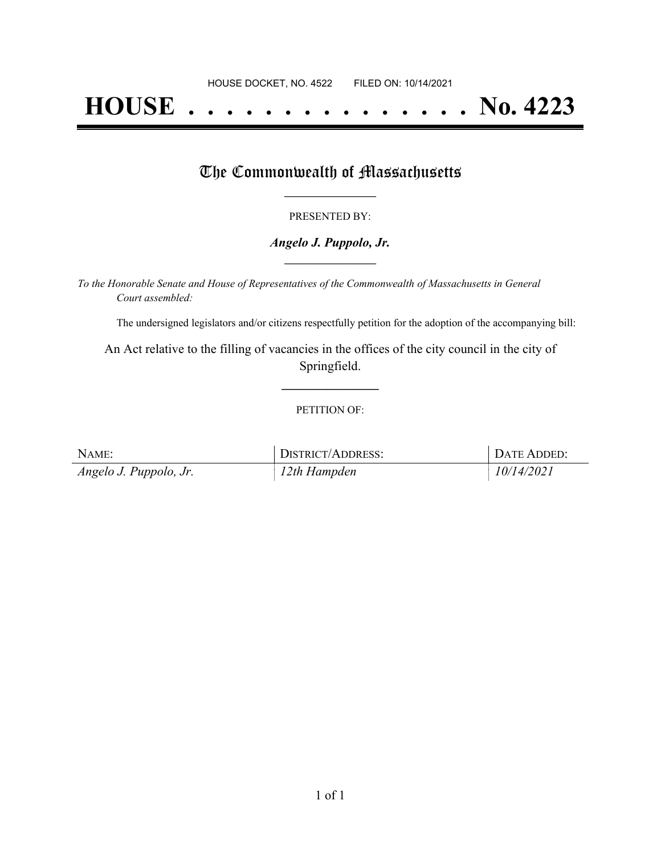# **HOUSE . . . . . . . . . . . . . . . No. 4223**

### The Commonwealth of Massachusetts

#### PRESENTED BY:

#### *Angelo J. Puppolo, Jr.* **\_\_\_\_\_\_\_\_\_\_\_\_\_\_\_\_\_**

*To the Honorable Senate and House of Representatives of the Commonwealth of Massachusetts in General Court assembled:*

The undersigned legislators and/or citizens respectfully petition for the adoption of the accompanying bill:

An Act relative to the filling of vacancies in the offices of the city council in the city of Springfield.

**\_\_\_\_\_\_\_\_\_\_\_\_\_\_\_**

#### PETITION OF:

| NAME:                  | DISTRICT/ADDRESS: | DATE ADDED: |
|------------------------|-------------------|-------------|
| Angelo J. Puppolo, Jr. | 12th Hampden      | 10/14/2021  |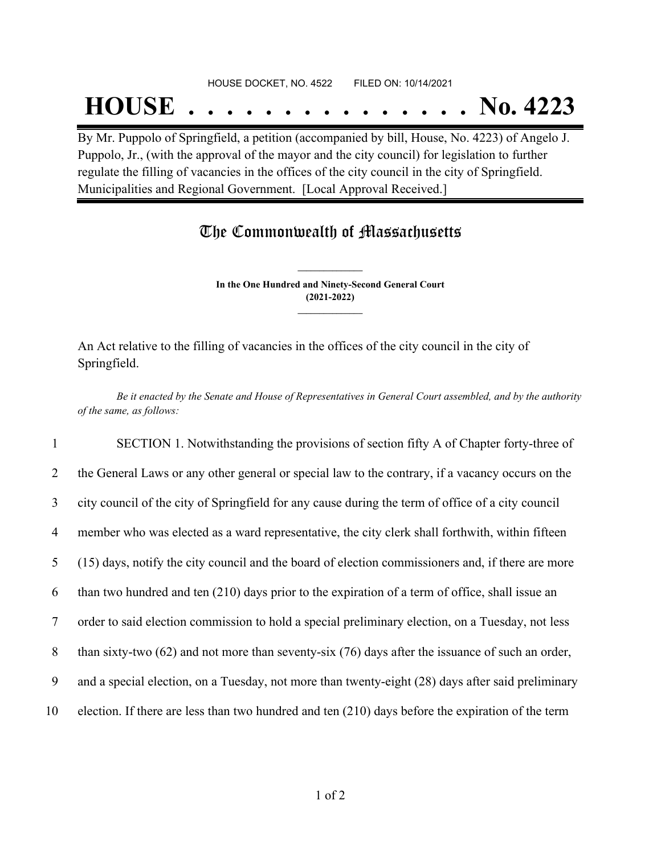## HOUSE DOCKET, NO. 4522 FILED ON: 10/14/2021

## **HOUSE . . . . . . . . . . . . . . . No. 4223**

By Mr. Puppolo of Springfield, a petition (accompanied by bill, House, No. 4223) of Angelo J. Puppolo, Jr., (with the approval of the mayor and the city council) for legislation to further regulate the filling of vacancies in the offices of the city council in the city of Springfield. Municipalities and Regional Government. [Local Approval Received.]

## The Commonwealth of Massachusetts

**In the One Hundred and Ninety-Second General Court (2021-2022) \_\_\_\_\_\_\_\_\_\_\_\_\_\_\_**

**\_\_\_\_\_\_\_\_\_\_\_\_\_\_\_**

An Act relative to the filling of vacancies in the offices of the city council in the city of Springfield.

Be it enacted by the Senate and House of Representatives in General Court assembled, and by the authority *of the same, as follows:*

 SECTION 1. Notwithstanding the provisions of section fifty A of Chapter forty-three of the General Laws or any other general or special law to the contrary, if a vacancy occurs on the city council of the city of Springfield for any cause during the term of office of a city council member who was elected as a ward representative, the city clerk shall forthwith, within fifteen (15) days, notify the city council and the board of election commissioners and, if there are more than two hundred and ten (210) days prior to the expiration of a term of office, shall issue an order to said election commission to hold a special preliminary election, on a Tuesday, not less 8 than sixty-two (62) and not more than seventy-six (76) days after the issuance of such an order, and a special election, on a Tuesday, not more than twenty-eight (28) days after said preliminary election. If there are less than two hundred and ten (210) days before the expiration of the term